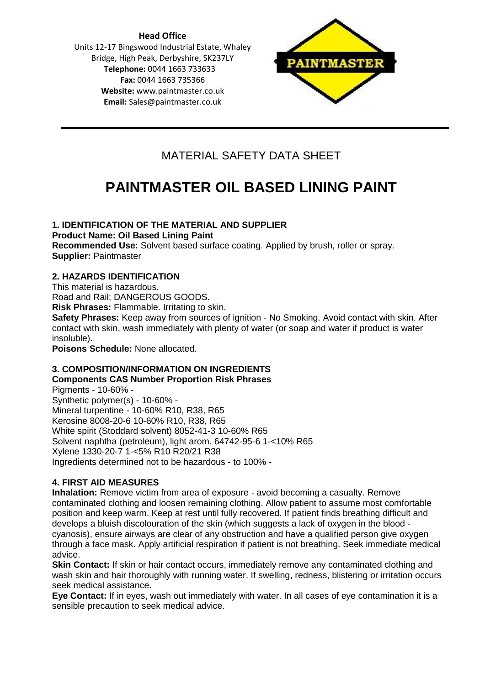**Head Office** Units 12-17 Bingswood Industrial Estate, Whaley Bridge, High Peak, Derbyshire, SK237LY **Telephone:** 0044 1663 733633 **Fax:** 0044 1663 735366 **Website:** [www.paintmaster.co.uk](http://www.paintmaster.co.uk/) **Email:** Sales@paintmaster.co.uk



# MATERIAL SAFETY DATA SHEET

# **PAINTMASTER OIL BASED LINING PAINT**

# **1. IDENTIFICATION OF THE MATERIAL AND SUPPLIER**

**Product Name: Oil Based Lining Paint**

**Recommended Use:** Solvent based surface coating. Applied by brush, roller or spray. **Supplier:** Paintmaster

# **2. HAZARDS IDENTIFICATION**

This material is hazardous.

Road and Rail; DANGEROUS GOODS.

**Risk Phrases:** Flammable. Irritating to skin.

**Safety Phrases:** Keep away from sources of ignition - No Smoking. Avoid contact with skin. After contact with skin, wash immediately with plenty of water (or soap and water if product is water insoluble).

**Poisons Schedule:** None allocated.

#### **3. COMPOSITION/INFORMATION ON INGREDIENTS Components CAS Number Proportion Risk Phrases**

Pigments - 10-60% - Synthetic polymer(s) - 10-60% - Mineral turpentine - 10-60% R10, R38, R65 Kerosine 8008-20-6 10-60% R10, R38, R65 White spirit (Stoddard solvent) 8052-41-3 10-60% R65 Solvent naphtha (petroleum), light arom. 64742-95-6 1-<10% R65 Xylene 1330-20-7 1-<5% R10 R20/21 R38 Ingredients determined not to be hazardous - to 100% -

# **4. FIRST AID MEASURES**

**Inhalation:** Remove victim from area of exposure - avoid becoming a casualty. Remove contaminated clothing and loosen remaining clothing. Allow patient to assume most comfortable position and keep warm. Keep at rest until fully recovered. If patient finds breathing difficult and develops a bluish discolouration of the skin (which suggests a lack of oxygen in the blood cyanosis), ensure airways are clear of any obstruction and have a qualified person give oxygen through a face mask. Apply artificial respiration if patient is not breathing. Seek immediate medical advice.

**Skin Contact:** If skin or hair contact occurs, immediately remove any contaminated clothing and wash skin and hair thoroughly with running water. If swelling, redness, blistering or irritation occurs seek medical assistance.

**Eye Contact:** If in eyes, wash out immediately with water. In all cases of eye contamination it is a sensible precaution to seek medical advice.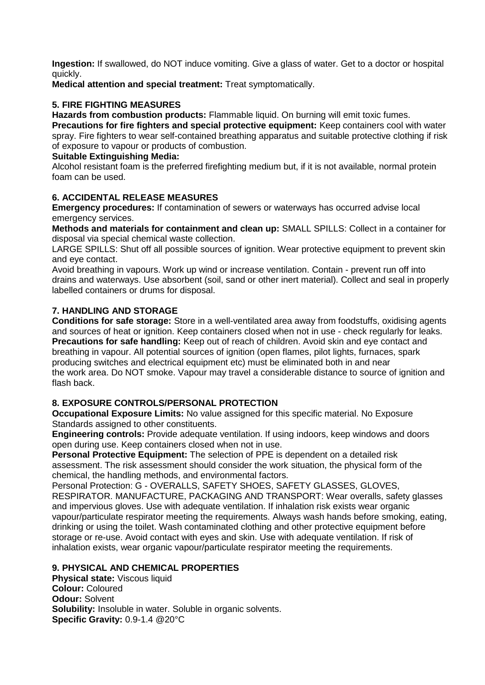**Ingestion:** If swallowed, do NOT induce vomiting. Give a glass of water. Get to a doctor or hospital quickly.

**Medical attention and special treatment:** Treat symptomatically.

# **5. FIRE FIGHTING MEASURES**

**Hazards from combustion products:** Flammable liquid. On burning will emit toxic fumes.

**Precautions for fire fighters and special protective equipment:** Keep containers cool with water spray. Fire fighters to wear self-contained breathing apparatus and suitable protective clothing if risk of exposure to vapour or products of combustion.

# **Suitable Extinguishing Media:**

Alcohol resistant foam is the preferred firefighting medium but, if it is not available, normal protein foam can be used.

# **6. ACCIDENTAL RELEASE MEASURES**

**Emergency procedures:** If contamination of sewers or waterways has occurred advise local emergency services.

**Methods and materials for containment and clean up:** SMALL SPILLS: Collect in a container for disposal via special chemical waste collection.

LARGE SPILLS: Shut off all possible sources of ignition. Wear protective equipment to prevent skin and eye contact.

Avoid breathing in vapours. Work up wind or increase ventilation. Contain - prevent run off into drains and waterways. Use absorbent (soil, sand or other inert material). Collect and seal in properly labelled containers or drums for disposal.

# **7. HANDLING AND STORAGE**

**Conditions for safe storage:** Store in a well-ventilated area away from foodstuffs, oxidising agents and sources of heat or ignition. Keep containers closed when not in use - check regularly for leaks. **Precautions for safe handling:** Keep out of reach of children. Avoid skin and eye contact and breathing in vapour. All potential sources of ignition (open flames, pilot lights, furnaces, spark producing switches and electrical equipment etc) must be eliminated both in and near the work area. Do NOT smoke. Vapour may travel a considerable distance to source of ignition and flash back.

# **8. EXPOSURE CONTROLS/PERSONAL PROTECTION**

**Occupational Exposure Limits:** No value assigned for this specific material. No Exposure Standards assigned to other constituents.

**Engineering controls:** Provide adequate ventilation. If using indoors, keep windows and doors open during use. Keep containers closed when not in use.

**Personal Protective Equipment:** The selection of PPE is dependent on a detailed risk assessment. The risk assessment should consider the work situation, the physical form of the chemical, the handling methods, and environmental factors.

Personal Protection: G - OVERALLS, SAFETY SHOES, SAFETY GLASSES, GLOVES, RESPIRATOR. MANUFACTURE, PACKAGING AND TRANSPORT: Wear overalls, safety glasses and impervious gloves. Use with adequate ventilation. If inhalation risk exists wear organic vapour/particulate respirator meeting the requirements. Always wash hands before smoking, eating, drinking or using the toilet. Wash contaminated clothing and other protective equipment before storage or re-use. Avoid contact with eyes and skin. Use with adequate ventilation. If risk of inhalation exists, wear organic vapour/particulate respirator meeting the requirements.

# **9. PHYSICAL AND CHEMICAL PROPERTIES**

**Physical state:** Viscous liquid **Colour:** Coloured **Odour:** Solvent **Solubility:** Insoluble in water. Soluble in organic solvents. **Specific Gravity:** 0.9-1.4 @20°C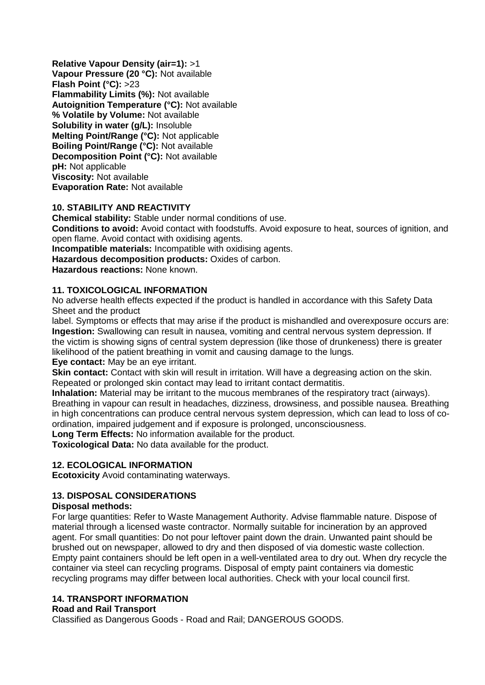**Relative Vapour Density (air=1):** >1 **Vapour Pressure (20 °C):** Not available **Flash Point (°C):** >23 **Flammability Limits (%):** Not available **Autoignition Temperature (°C):** Not available **% Volatile by Volume:** Not available **Solubility in water (g/L):** Insoluble **Melting Point/Range (°C):** Not applicable **Boiling Point/Range (°C):** Not available **Decomposition Point (°C):** Not available **pH:** Not applicable **Viscosity:** Not available **Evaporation Rate:** Not available

# **10. STABILITY AND REACTIVITY**

**Chemical stability:** Stable under normal conditions of use.

**Conditions to avoid:** Avoid contact with foodstuffs. Avoid exposure to heat, sources of ignition, and open flame. Avoid contact with oxidising agents.

**Incompatible materials:** Incompatible with oxidising agents.

**Hazardous decomposition products:** Oxides of carbon.

**Hazardous reactions:** None known.

# **11. TOXICOLOGICAL INFORMATION**

No adverse health effects expected if the product is handled in accordance with this Safety Data Sheet and the product

label. Symptoms or effects that may arise if the product is mishandled and overexposure occurs are: **Ingestion:** Swallowing can result in nausea, vomiting and central nervous system depression. If the victim is showing signs of central system depression (like those of drunkeness) there is greater likelihood of the patient breathing in vomit and causing damage to the lungs.

**Eye contact:** May be an eye irritant.

**Skin contact:** Contact with skin will result in irritation. Will have a degreasing action on the skin. Repeated or prolonged skin contact may lead to irritant contact dermatitis.

**Inhalation:** Material may be irritant to the mucous membranes of the respiratory tract (airways). Breathing in vapour can result in headaches, dizziness, drowsiness, and possible nausea. Breathing in high concentrations can produce central nervous system depression, which can lead to loss of coordination, impaired judgement and if exposure is prolonged, unconsciousness.

**Long Term Effects:** No information available for the product.

**Toxicological Data:** No data available for the product.

# **12. ECOLOGICAL INFORMATION**

**Ecotoxicity** Avoid contaminating waterways.

# **13. DISPOSAL CONSIDERATIONS**

# **Disposal methods:**

For large quantities: Refer to Waste Management Authority. Advise flammable nature. Dispose of material through a licensed waste contractor. Normally suitable for incineration by an approved agent. For small quantities: Do not pour leftover paint down the drain. Unwanted paint should be brushed out on newspaper, allowed to dry and then disposed of via domestic waste collection. Empty paint containers should be left open in a well-ventilated area to dry out. When dry recycle the container via steel can recycling programs. Disposal of empty paint containers via domestic recycling programs may differ between local authorities. Check with your local council first.

# **14. TRANSPORT INFORMATION**

# **Road and Rail Transport**

Classified as Dangerous Goods - Road and Rail; DANGEROUS GOODS.